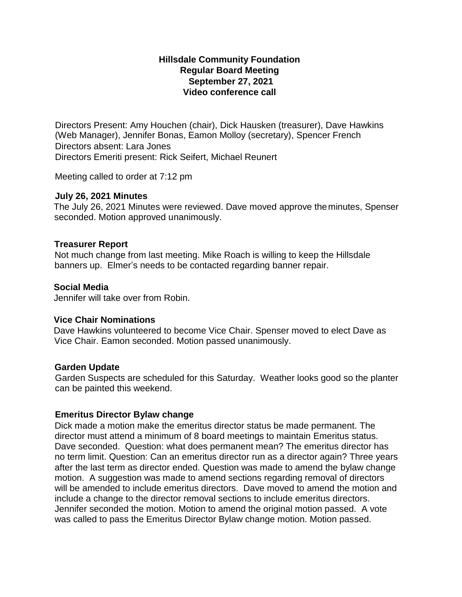# **Hillsdale Community Foundation Regular Board Meeting September 27, 2021 Video conference call**

Directors Present: Amy Houchen (chair), Dick Hausken (treasurer), Dave Hawkins (Web Manager), Jennifer Bonas, Eamon Molloy (secretary), Spencer French Directors absent: Lara Jones Directors Emeriti present: Rick Seifert, Michael Reunert

Meeting called to order at 7:12 pm

#### **July 26, 2021 Minutes**

The July 26, 2021 Minutes were reviewed. Dave moved approve theminutes, Spenser seconded. Motion approved unanimously.

# **Treasurer Report**

Not much change from last meeting. Mike Roach is willing to keep the Hillsdale banners up. Elmer's needs to be contacted regarding banner repair.

#### **Social Media**

Jennifer will take over from Robin.

# **Vice Chair Nominations**

Dave Hawkins volunteered to become Vice Chair. Spenser moved to elect Dave as Vice Chair. Eamon seconded. Motion passed unanimously.

# **Garden Update**

Garden Suspects are scheduled for this Saturday. Weather looks good so the planter can be painted this weekend.

# **Emeritus Director Bylaw change**

Dick made a motion make the emeritus director status be made permanent. The director must attend a minimum of 8 board meetings to maintain Emeritus status. Dave seconded. Question: what does permanent mean? The emeritus director has no term limit. Question: Can an emeritus director run as a director again? Three years after the last term as director ended. Question was made to amend the bylaw change motion. A suggestion was made to amend sections regarding removal of directors will be amended to include emeritus directors. Dave moved to amend the motion and include a change to the director removal sections to include emeritus directors. Jennifer seconded the motion. Motion to amend the original motion passed. A vote was called to pass the Emeritus Director Bylaw change motion. Motion passed.